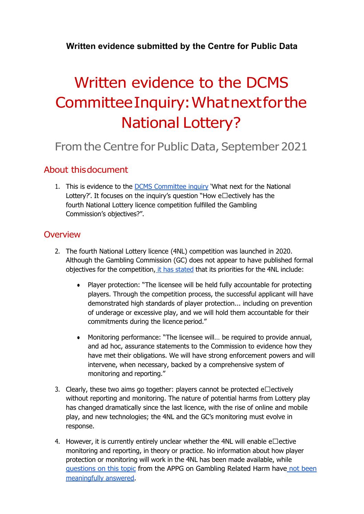# **Written evidence submitted by the Centre for Public Data**

# Written evidence to the DCMS CommitteeInquiry:Whatnextforthe National Lottery?

# From the Centre for Public Data, September 2021

## About thisdocument

1. This is evidence to the [DCMS](https://committees.parliament.uk/work/1430/what-next-for-the-national-lottery/) [Committee](https://committees.parliament.uk/work/1430/what-next-for-the-national-lottery/) [inquiry](https://committees.parliament.uk/work/1430/what-next-for-the-national-lottery/) 'What next for the National Lottery?'. It focuses on the inquiry's question "How e $\Box$ ectively has the fourth National Lottery licence competition fulfilled the Gambling Commission's objectives?".

#### **Overview**

- 2. The fourth National Lottery licence (4NL) competition was launched in 2020. Although the Gambling Commission (GC) does not appear to have published formal objectives for the compet[it](https://www.4nlc.com/PDF/The-Future-of-the-National-Lottery-Competition-Launch.pdf)ion, it [has](https://www.4nlc.com/PDF/The-Future-of-the-National-Lottery-Competition-Launch.pdf) [stated](https://www.4nlc.com/PDF/The-Future-of-the-National-Lottery-Competition-Launch.pdf) that its priorities for the 4NL include:
	- Player protection: "The licensee will be held fully accountable for protecting players. Through the competition process, the successful applicant will have demonstrated high standards of player protection... including on prevention of underage or excessive play, and we will hold them accountable for their commitments during the licence period."
	- Monitoring performance: "The licensee will... be required to provide annual, and ad hoc, assurance statements to the Commission to evidence how they have met their obligations. We will have strong enforcement powers and will intervene, when necessary, backed by a comprehensive system of monitoring and reporting."
- 3. Clearly, these two aims go together: players cannot be protected e $\Box$ ectively without reporting and monitoring. The nature of potential harms from Lottery play has changed dramatically since the last licence, with the rise of online and mobile play, and new technologies; the 4NL and the GC's monitoring must evolve in response.
- 4. However, it is currently entirely unclear whether the 4NL will enable e $\Box$ ective monitoring and reporting, in theory or practice. No information about how player protection or monitoring will work in the 4NL has been made available, while [questions](http://grh-appg.com/wp-content/uploads/2021/09/CH-to-GC-on-Lottery-Competition-June-18.pdf) [on](http://grh-appg.com/wp-content/uploads/2021/09/CH-to-GC-on-Lottery-Competition-June-18.pdf) [this](http://grh-appg.com/wp-content/uploads/2021/09/CH-to-GC-on-Lottery-Competition-June-18.pdf) [topic](http://grh-appg.com/wp-content/uploads/2021/09/CH-to-GC-on-Lottery-Competition-June-18.pdf) from the APPG on Gambling Related Harm have [not](http://grh-appg.com/wp-content/uploads/2021/09/Re-National-Lottery-APPG-GRH-060721.pdf) [been](http://grh-appg.com/wp-content/uploads/2021/09/Re-National-Lottery-APPG-GRH-060721.pdf) [meaningfully](http://grh-appg.com/wp-content/uploads/2021/09/Re-National-Lottery-APPG-GRH-060721.pdf) [answered.](http://grh-appg.com/wp-content/uploads/2021/09/Re-National-Lottery-APPG-GRH-060721.pdf)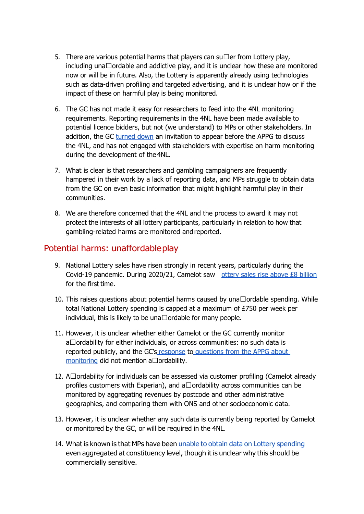- 5. There are various potential harms that players can su $\Box$ er from Lottery play, including una $\Box$ ordable and addictive play, and it is unclear how these are monitored now or will be in future. Also, the Lottery is apparently already using technologies such as data-driven profiling and targeted advertising, and it is unclear how or if the impact of these on harmful play is being monitored.
- 6. The GC has not made it easy for researchers to feed into the 4NL monitoring requirements. Reporting requirements in the 4NL have been made available to potential licence bidders, but not (we understand) to MPs or other stakeholders. In addition, the GC [turned](http://grh-appg.com/wp-content/uploads/2021/09/CH-to-GC-on-Lottery-Competition-June-18.pdf) [down](http://grh-appg.com/wp-content/uploads/2021/09/CH-to-GC-on-Lottery-Competition-June-18.pdf) [a](http://grh-appg.com/wp-content/uploads/2021/09/CH-to-GC-on-Lottery-Competition-June-18.pdf)n invitation to appear before the APPG to discuss the 4NL, and has not engaged with stakeholders with expertise on harm monitoring during the development of the 4NL.
- 7. What is clear is that researchers and gambling campaigners are frequently hampered in their work by a lack of reporting data, and MPs struggle to obtain data from the GC on even basic information that might highlight harmful play in their communities.
- 8. We are therefore concerned that the 4NL and the process to award it may not protect the interests of all lottery participants, particularly in relation to how that gambling-related harms are monitored and reported.

## Potential harms: unaffordableplay

- 9. National Lottery sales have risen strongly in recent years, particularly during the Covid-19 pandemic. During 2020/21, Camelot saw [ottery](https://www.camelotgroup.co.uk/news/camelot-uk-lotteries-limited-2020-21-financial-results/) [sales](https://www.camelotgroup.co.uk/news/camelot-uk-lotteries-limited-2020-21-financial-results/) [rise](https://www.camelotgroup.co.uk/news/camelot-uk-lotteries-limited-2020-21-financial-results/) [above](https://www.camelotgroup.co.uk/news/camelot-uk-lotteries-limited-2020-21-financial-results/) [£8](https://www.camelotgroup.co.uk/news/camelot-uk-lotteries-limited-2020-21-financial-results/) [billion](https://www.camelotgroup.co.uk/news/camelot-uk-lotteries-limited-2020-21-financial-results/) for the first time.
- 10. This raises questions about potential harms caused by  $\mu$ na  $\Box$ ordable spending. While total National Lottery spending is capped at a maximum of £750 per week per individual, this is likely to be una $\Box$ ordable for many people.
- 11. However, it is unclear whether either Camelot or the GC currently monitor  $a\Box$ ordability for either individuals, or across communities: no such data is reported publicly, and the GC's [response](http://grh-appg.com/wp-content/uploads/2021/09/Re-National-Lottery-APPG-GRH-060721.pdf) [t](http://grh-appg.com/wp-content/uploads/2021/09/Re-National-Lottery-APPG-GRH-060721.pdf)o [questions](http://grh-appg.com/wp-content/uploads/2021/09/CH-to-GC-on-Lottery-Competition-June-18.pdf) [from](http://grh-appg.com/wp-content/uploads/2021/09/CH-to-GC-on-Lottery-Competition-June-18.pdf) [the](http://grh-appg.com/wp-content/uploads/2021/09/CH-to-GC-on-Lottery-Competition-June-18.pdf) [APPG](http://grh-appg.com/wp-content/uploads/2021/09/CH-to-GC-on-Lottery-Competition-June-18.pdf) [about](http://grh-appg.com/wp-content/uploads/2021/09/CH-to-GC-on-Lottery-Competition-June-18.pdf) [monitoring](http://grh-appg.com/wp-content/uploads/2021/09/CH-to-GC-on-Lottery-Competition-June-18.pdf) [d](http://grh-appg.com/wp-content/uploads/2021/09/CH-to-GC-on-Lottery-Competition-June-18.pdf)id not mention a $\Box$ ordability.
- 12. A $\Box$ ordability for individuals can be assessed via customer profiling (Camelot already profiles customers with Experian), and a $\Box$ ordability across communities can be monitored by aggregating revenues by postcode and other administrative geographies, and comparing them with ONS and other socioeconomic data.
- 13. However, it is unclear whether any such data is currently being reported by Camelot or monitored by the GC, or will be required in the 4NL.
- 14. What is known is that MPs have been [unable](https://questions-statements.parliament.uk/written-questions/detail/2020-03-04/25203) [to](https://questions-statements.parliament.uk/written-questions/detail/2020-03-04/25203) [obtain](https://questions-statements.parliament.uk/written-questions/detail/2020-03-04/25203) [data](https://questions-statements.parliament.uk/written-questions/detail/2020-03-04/25203) [on](https://questions-statements.parliament.uk/written-questions/detail/2020-03-04/25203) [Lottery](https://questions-statements.parliament.uk/written-questions/detail/2020-03-04/25203) [spending](https://questions-statements.parliament.uk/written-questions/detail/2020-03-04/25203) even aggregated at constituency level, though it is unclear why this should be commercially sensitive.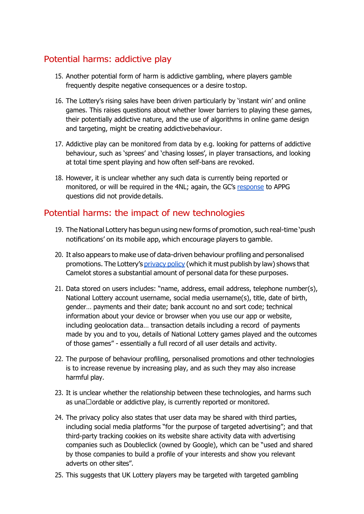# Potential harms: addictive play

- 15. Another potential form of harm is addictive gambling, where players gamble frequently despite negative consequences or a desire tostop.
- 16. The Lottery's rising sales have been driven particularly by 'instant win' and online games. This raises questions about whether lower barriers to playing these games, their potentially addictive nature, and the use of algorithms in online game design and targeting, might be creating addictivebehaviour.
- 17. Addictive play can be monitored from data by e.g. looking for patterns of addictive behaviour, such as 'sprees' and 'chasing losses', in player transactions, and looking at total time spent playing and how often self-bans are revoked.
- 18. However, it is unclear whether any such data is currently being reported or monitored, or will be required in the 4NL; again, the GC's [response](http://grh-appg.com/wp-content/uploads/2021/09/Re-National-Lottery-APPG-GRH-060721.pdf) [t](http://grh-appg.com/wp-content/uploads/2021/09/Re-National-Lottery-APPG-GRH-060721.pdf)o APPG questions did not provide details.

# Potential harms: the impact of new technologies

- 19. The National Lottery has begun using new forms of promotion, such real-time 'push notifications' on its mobile app, which encourage players to gamble.
- 20. It also appears to make use of data-driven behaviour profiling and personalised promotions. The Lottery's [privacy](https://www.national-lottery.co.uk/privacy-policy) [policy](https://www.national-lottery.co.uk/privacy-policy) (which it must publish by law) shows that Camelot stores a substantial amount of personal data for these purposes.
- 21. Data stored on users includes: "name, address, email address, telephone number(s), National Lottery account username, social media username(s), title, date of birth, gender… payments and their date; bank account no and sort code; technical information about your device or browser when you use our app or website, including geolocation data… transaction details including a record of payments made by you and to you, details of National Lottery games played and the outcomes of those games" - essentially a full record of all user details and activity.
- 22. The purpose of behaviour profiling, personalised promotions and other technologies is to increase revenue by increasing play, and as such they may also increase harmful play.
- 23. It is unclear whether the relationship between these technologies, and harms such as una $\Box$ ordable or addictive play, is currently reported or monitored.
- 24. The privacy policy also states that user data may be shared with third parties, including social media platforms "for the purpose of targeted advertising"; and that third-party tracking cookies on its website share activity data with advertising companies such as Doubleclick (owned by Google), which can be "used and shared by those companies to build a profile of your interests and show you relevant adverts on other sites".
- 25. This suggests that UK Lottery players may be targeted with targeted gambling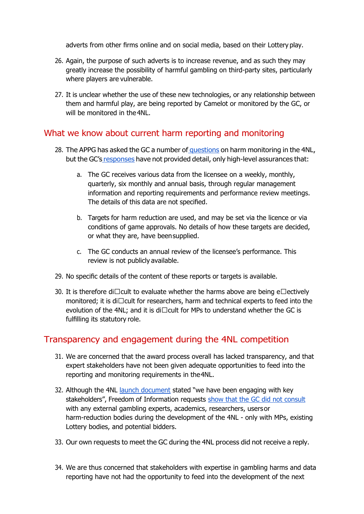adverts from other firms online and on social media, based on their Lottery play.

- 26. Again, the purpose of such adverts is to increase revenue, and as such they may greatly increase the possibility of harmful gambling on third-party sites, particularly where players are vulnerable.
- 27. It is unclear whether the use of these new technologies, or any relationship between them and harmful play, are being reported by Camelot or monitored by the GC, or will be monitored in the 4NL.

# What we know about current harm reporting and monitoring

- 28. The APPG has asked the GC a number of [questions](http://grh-appg.com/wp-content/uploads/2021/09/CH-to-GC-on-Lottery-Competition-June-18.pdf) [o](http://grh-appg.com/wp-content/uploads/2021/09/CH-to-GC-on-Lottery-Competition-June-18.pdf)n harm monitoring in the 4NL, but the GC's [responses](http://grh-appg.com/wp-content/uploads/2021/09/Re-National-Lottery-APPG-GRH-060721.pdf) have not provided detail, only high-level assurances that:
	- a. The GC receives various data from the licensee on a weekly, monthly, quarterly, six monthly and annual basis, through regular management information and reporting requirements and performance review meetings. The details of this data are not specified.
	- b. Targets for harm reduction are used, and may be set via the licence or via conditions of game approvals. No details of how these targets are decided, or what they are, have beensupplied.
	- c. The GC conducts an annual review of the licensee's performance. This review is not publicly available.
- 29. No specific details of the content of these reports or targets is available.
- 30. It is therefore di $\Box$ cult to evaluate whether the harms above are being e $\Box$ ectively monitored; it is di $\Box$ cult for researchers, harm and technical experts to feed into the evolution of the 4NL; and it is di $\Box$ cult for MPs to understand whether the GC is fulfilling its statutory role.

# Transparency and engagement during the 4NL competition

- 31. We are concerned that the award process overall has lacked transparency, and that expert stakeholders have not been given adequate opportunities to feed into the reporting and monitoring requirements in the4NL.
- 32. Although the 4NL [launch](https://www.4nlc.com/PDF/The-Future-of-the-National-Lottery-Competition-Launch.pdf) [document](https://www.4nlc.com/PDF/The-Future-of-the-National-Lottery-Competition-Launch.pdf) [s](https://www.4nlc.com/PDF/The-Future-of-the-National-Lottery-Competition-Launch.pdf)tated "we have been engaging with key stakeholders", Freedom of Information requests [show](https://www.whatdotheyknow.com/request/organisations_consulted_during_t) [that](https://www.whatdotheyknow.com/request/organisations_consulted_during_t) [the](https://www.whatdotheyknow.com/request/organisations_consulted_during_t) [GC](https://www.whatdotheyknow.com/request/organisations_consulted_during_t) [did](https://www.whatdotheyknow.com/request/organisations_consulted_during_t) [not](https://www.whatdotheyknow.com/request/organisations_consulted_during_t) [consult](https://www.whatdotheyknow.com/request/organisations_consulted_during_t) with any external gambling experts, academics, researchers, usersor harm-reduction bodies during the development of the 4NL - only with MPs, existing Lottery bodies, and potential bidders.
- 33. Our own requests to meet the GC during the 4NL process did not receive a reply.
- 34. We are thus concerned that stakeholders with expertise in gambling harms and data reporting have not had the opportunity to feed into the development of the next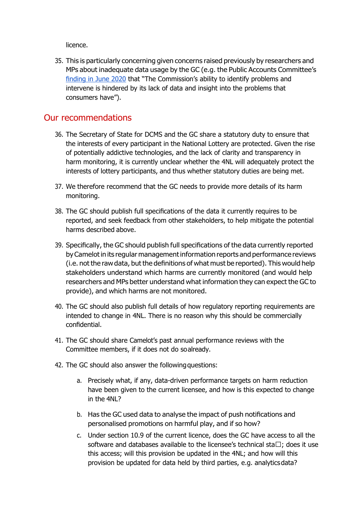licence.

35. This is particularly concerning given concerns raised previously by researchers and MPs about inadequate data usage by the GC (e.g. the Public Accounts Committee's [finding](https://publications.parliament.uk/pa/cm5801/cmselect/cmpubacc/134/13405.htm) [in](https://publications.parliament.uk/pa/cm5801/cmselect/cmpubacc/134/13405.htm) [June](https://publications.parliament.uk/pa/cm5801/cmselect/cmpubacc/134/13405.htm) [2020](https://publications.parliament.uk/pa/cm5801/cmselect/cmpubacc/134/13405.htm) that "The Commission's ability to identify problems and intervene is hindered by its lack of data and insight into the problems that consumers have").

## Our recommendations

- 36. The Secretary of State for DCMS and the GC share a statutory duty to ensure that the interests of every participant in the National Lottery are protected. Given the rise of potentially addictive technologies, and the lack of clarity and transparency in harm monitoring, it is currently unclear whether the 4NL will adequately protect the interests of lottery participants, and thus whether statutory duties are being met.
- 37. We therefore recommend that the GC needs to provide more details of its harm monitoring.
- 38. The GC should publish full specifications of the data it currently requires to be reported, and seek feedback from other stakeholders, to help mitigate the potential harms described above.
- 39. Specifically, the GC should publish full specifications of the data currently reported byCamelotin its regular managementinformation reports and performance reviews (i.e. not the raw data, but the definitions of what must be reported). This would help stakeholders understand which harms are currently monitored (and would help researchers and MPs better understand what information they can expect the GC to provide), and which harms are not monitored.
- 40. The GC should also publish full details of how regulatory reporting requirements are intended to change in 4NL. There is no reason why this should be commercially confidential.
- 41. The GC should share Camelot's past annual performance reviews with the Committee members, if it does not do soalready.
- 42. The GC should also answer the following questions:
	- a. Precisely what, if any, data-driven performance targets on harm reduction have been given to the current licensee, and how is this expected to change in the 4NL?
	- b. Has the GC used data to analyse the impact of push notifications and personalised promotions on harmful play, and if so how?
	- c. Under section 10.9 of the current licence, does the GC have access to all the software and databases available to the licensee's technical sta $\Box$ ; does it use this access; will this provision be updated in the 4NL; and how will this provision be updated for data held by third parties, e.g. analyticsdata?